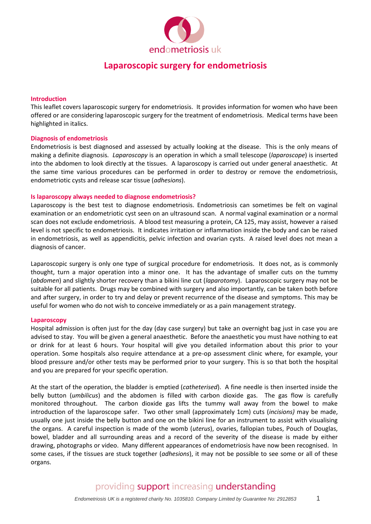

### **Introduction**

This leaflet covers laparoscopic surgery for endometriosis. It provides information for women who have been offered or are considering laparoscopic surgery for the treatment of endometriosis. Medical terms have been highlighted in italics.

### **Diagnosis of endometriosis**

Endometriosis is best diagnosed and assessed by actually looking at the disease. This is the only means of making a definite diagnosis. *Laparoscopy* is an operation in which a small telescope (*laparoscope*) is inserted into the abdomen to look directly at the tissues. A laparoscopy is carried out under general anaesthetic. At the same time various procedures can be performed in order to destroy or remove the endometriosis, endometriotic cysts and release scar tissue (*adhesions*).

### **Is laparoscopy always needed to diagnose endometriosis?**

Laparoscopy is the best test to diagnose endometriosis. Endometriosis can sometimes be felt on vaginal examination or an endometriotic cyst seen on an ultrasound scan. A normal vaginal examination or a normal scan does not exclude endometriosis. A blood test measuring a protein, CA 125, may assist, however a raised level is not specific to endometriosis. It indicates irritation or inflammation inside the body and can be raised in endometriosis, as well as appendicitis, pelvic infection and ovarian cysts. A raised level does not mean a diagnosis of cancer.

Laparoscopic surgery is only one type of surgical procedure for endometriosis. It does not, as is commonly thought, turn a major operation into a minor one. It has the advantage of smaller cuts on the tummy (*abdomen*) and slightly shorter recovery than a bikini line cut (*laparotomy*). Laparoscopic surgery may not be suitable for all patients. Drugs may be combined with surgery and also importantly, can be taken both before and after surgery, in order to try and delay or prevent recurrence of the disease and symptoms. This may be useful for women who do not wish to conceive immediately or as a pain management strategy.

#### **Laparoscopy**

Hospital admission is often just for the day (day case surgery) but take an overnight bag just in case you are advised to stay. You will be given a general anaesthetic. Before the anaesthetic you must have nothing to eat or drink for at least 6 hours. Your hospital will give you detailed information about this prior to your operation. Some hospitals also require attendance at a pre-op assessment clinic where, for example, your blood pressure and/or other tests may be performed prior to your surgery. This is so that both the hospital and you are prepared for your specific operation.

At the start of the operation, the bladder is emptied (*catheterised*). A fine needle is then inserted inside the belly button (*umbilicus*) and the abdomen is filled with carbon dioxide gas. The gas flow is carefully monitored throughout. The carbon dioxide gas lifts the tummy wall away from the bowel to make introduction of the laparoscope safer. Two other small (approximately 1cm) cuts (*incisions)* may be made, usually one just inside the belly button and one on the bikini line for an instrument to assist with visualising the organs. A careful inspection is made of the womb (*uterus*), ovaries, fallopian tubes, Pouch of Douglas, bowel, bladder and all surrounding areas and a record of the severity of the disease is made by either drawing, photographs or video. Many different appearances of endometriosis have now been recognised. In some cases, if the tissues are stuck together (*adhesions*), it may not be possible to see some or all of these organs.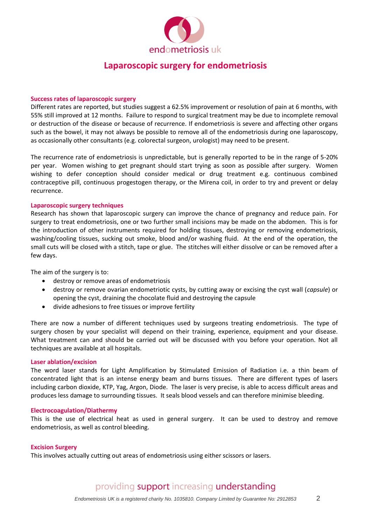

#### **Success rates of laparoscopic surgery**

Different rates are reported, but studies suggest a 62.5% improvement or resolution of pain at 6 months, with 55% still improved at 12 months. Failure to respond to surgical treatment may be due to incomplete removal or destruction of the disease or because of recurrence. If endometriosis is severe and affecting other organs such as the bowel, it may not always be possible to remove all of the endometriosis during one laparoscopy, as occasionally other consultants (e.g. colorectal surgeon, urologist) may need to be present.

The recurrence rate of endometriosis is unpredictable, but is generally reported to be in the range of 5-20% per year. Women wishing to get pregnant should start trying as soon as possible after surgery. Women wishing to defer conception should consider medical or drug treatment e.g. continuous combined contraceptive pill, continuous progestogen therapy, or the Mirena coil, in order to try and prevent or delay recurrence.

### **Laparoscopic surgery techniques**

Research has shown that laparoscopic surgery can improve the chance of pregnancy and reduce pain. For surgery to treat endometriosis, one or two further small incisions may be made on the abdomen. This is for the introduction of other instruments required for holding tissues, destroying or removing endometriosis, washing/cooling tissues, sucking out smoke, blood and/or washing fluid. At the end of the operation, the small cuts will be closed with a stitch, tape or glue. The stitches will either dissolve or can be removed after a few days.

The aim of the surgery is to:

- destroy or remove areas of endometriosis
- destroy or remove ovarian endometriotic cysts, by cutting away or excising the cyst wall (*capsule*) or opening the cyst, draining the chocolate fluid and destroying the capsule
- divide adhesions to free tissues or improve fertility

There are now a number of different techniques used by surgeons treating endometriosis. The type of surgery chosen by your specialist will depend on their training, experience, equipment and your disease. What treatment can and should be carried out will be discussed with you before your operation. Not all techniques are available at all hospitals.

### **Laser ablation/excision**

The word laser stands for Light Amplification by Stimulated Emission of Radiation i.e. a thin beam of concentrated light that is an intense energy beam and burns tissues. There are different types of lasers including carbon dioxide, KTP, Yag, Argon, Diode. The laser is very precise, is able to access difficult areas and produces less damage to surrounding tissues. It seals blood vessels and can therefore minimise bleeding.

#### **Electrocoagulation/Diathermy**

This is the use of electrical heat as used in general surgery. It can be used to destroy and remove endometriosis, as well as control bleeding.

#### **Excision Surgery**

This involves actually cutting out areas of endometriosis using either scissors or lasers.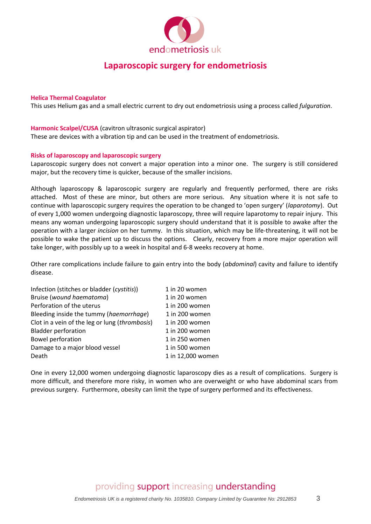

### **Helica Thermal Coagulator**

This uses Helium gas and a small electric current to dry out endometriosis using a process called *fulguration*.

### **Harmonic Scalpel/CUSA** (cavitron ultrasonic surgical aspirator)

These are devices with a vibration tip and can be used in the treatment of endometriosis.

### **Risks of laparoscopy and laparoscopic surgery**

Laparoscopic surgery does not convert a major operation into a minor one. The surgery is still considered major, but the recovery time is quicker, because of the smaller incisions.

Although laparoscopy & laparoscopic surgery are regularly and frequently performed, there are risks attached. Most of these are minor, but others are more serious. Any situation where it is not safe to continue with laparoscopic surgery requires the operation to be changed to 'open surgery' (*laparotomy*). Out of every 1,000 women undergoing diagnostic laparoscopy, three will require laparotomy to repair injury. This means any woman undergoing laparoscopic surgery should understand that it is possible to awake after the operation with a larger *incision* on her tummy. In this situation, which may be life-threatening, it will not be possible to wake the patient up to discuss the options. Clearly, recovery from a more major operation will take longer, with possibly up to a week in hospital and 6-8 weeks recovery at home.

Other rare complications include failure to gain entry into the body (*abdominal*) cavity and failure to identify disease.

| Infection (stitches or bladder (cystitis))     | 1 in 20 women     |
|------------------------------------------------|-------------------|
| Bruise (wound haematoma)                       | 1 in 20 women     |
| Perforation of the uterus                      | 1 in 200 women    |
| Bleeding inside the tummy (haemorrhage)        | 1 in 200 women    |
| Clot in a vein of the leg or lung (thrombosis) | 1 in 200 women    |
| <b>Bladder perforation</b>                     | 1 in 200 women    |
| <b>Bowel perforation</b>                       | 1 in 250 women    |
| Damage to a major blood vessel                 | 1 in 500 women    |
| Death                                          | 1 in 12,000 women |

One in every 12,000 women undergoing diagnostic laparoscopy dies as a result of complications. Surgery is more difficult, and therefore more risky, in women who are overweight or who have abdominal scars from previous surgery. Furthermore, obesity can limit the type of surgery performed and its effectiveness.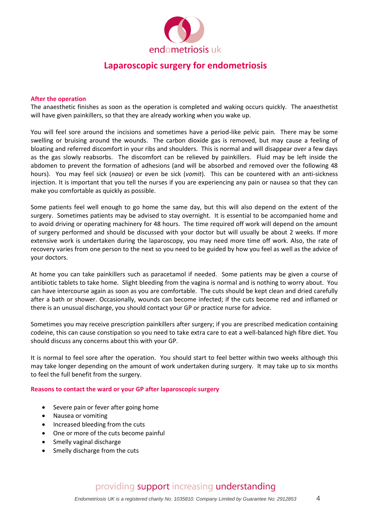

### **After the operation**

The anaesthetic finishes as soon as the operation is completed and waking occurs quickly. The anaesthetist will have given painkillers, so that they are already working when you wake up.

You will feel sore around the incisions and sometimes have a period-like pelvic pain. There may be some swelling or bruising around the wounds. The carbon dioxide gas is removed, but may cause a feeling of bloating and referred discomfort in your ribs and shoulders. This is normal and will disappear over a few days as the gas slowly reabsorbs. The discomfort can be relieved by painkillers. Fluid may be left inside the abdomen to prevent the formation of adhesions (and will be absorbed and removed over the following 48 hours). You may feel sick (*nausea*) or even be sick (*vomit*). This can be countered with an anti-sickness injection. It is important that you tell the nurses if you are experiencing any pain or nausea so that they can make you comfortable as quickly as possible.

Some patients feel well enough to go home the same day, but this will also depend on the extent of the surgery. Sometimes patients may be advised to stay overnight. It is essential to be accompanied home and to avoid driving or operating machinery for 48 hours. The time required off work will depend on the amount of surgery performed and should be discussed with your doctor but will usually be about 2 weeks. If more extensive work is undertaken during the laparoscopy, you may need more time off work. Also, the rate of recovery varies from one person to the next so you need to be guided by how you feel as well as the advice of your doctors.

At home you can take painkillers such as paracetamol if needed. Some patients may be given a course of antibiotic tablets to take home. Slight bleeding from the vagina is normal and is nothing to worry about. You can have intercourse again as soon as you are comfortable. The cuts should be kept clean and dried carefully after a bath or shower. Occasionally, wounds can become infected; if the cuts become red and inflamed or there is an unusual discharge, you should contact your GP or practice nurse for advice.

Sometimes you may receive prescription painkillers after surgery; if you are prescribed medication containing codeine, this can cause constipation so you need to take extra care to eat a well-balanced high fibre diet. You should discuss any concerns about this with your GP.

It is normal to feel sore after the operation. You should start to feel better within two weeks although this may take longer depending on the amount of work undertaken during surgery. It may take up to six months to feel the full benefit from the surgery.

### **Reasons to contact the ward or your GP after laparoscopic surgery**

- Severe pain or fever after going home
- Nausea or vomiting
- Increased bleeding from the cuts
- One or more of the cuts become painful
- Smelly vaginal discharge
- Smelly discharge from the cuts